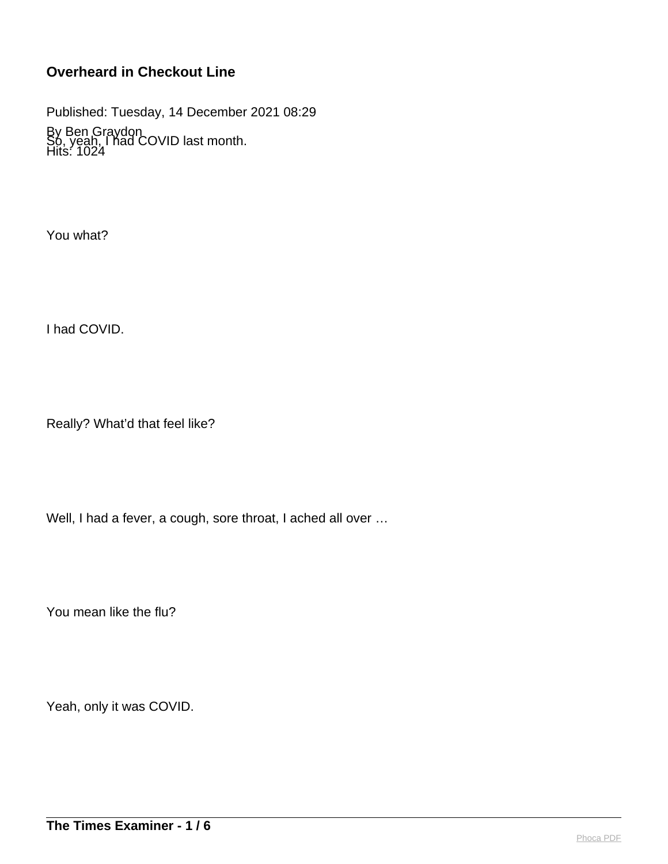Published: Tuesday, 14 December 2021 08:29

By Ben Graydon Hits: 1024 So, yeah, I had COVID last month.

You what?

I had COVID.

Really? What'd that feel like?

Well, I had a fever, a cough, sore throat, I ached all over …

You mean like the flu?

Yeah, only it was COVID.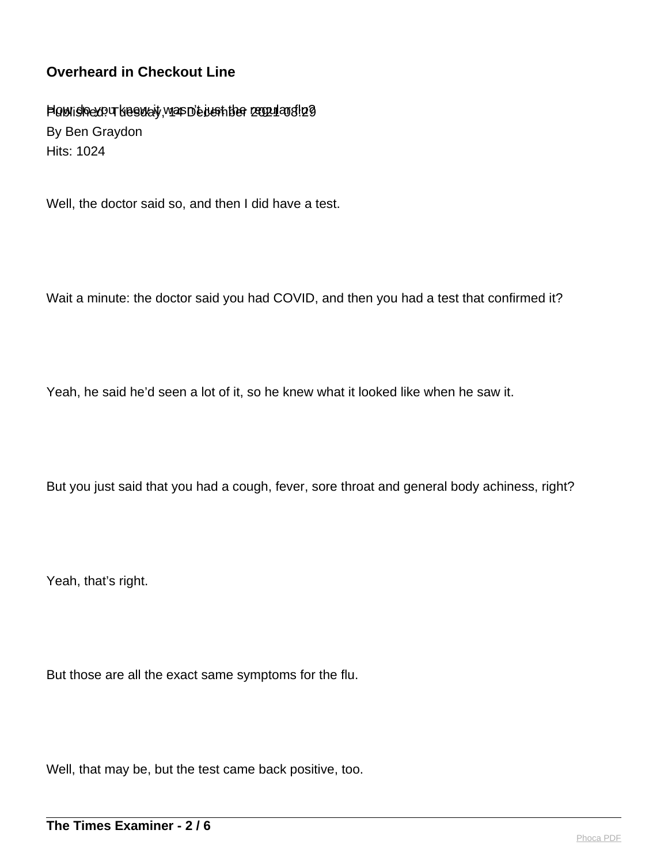Plow ishexo u kasway, was D'e ken ther regruans !29 By Ben Graydon Hits: 1024

Well, the doctor said so, and then I did have a test.

Wait a minute: the doctor said you had COVID, and then you had a test that confirmed it?

Yeah, he said he'd seen a lot of it, so he knew what it looked like when he saw it.

But you just said that you had a cough, fever, sore throat and general body achiness, right?

Yeah, that's right.

But those are all the exact same symptoms for the flu.

Well, that may be, but the test came back positive, too.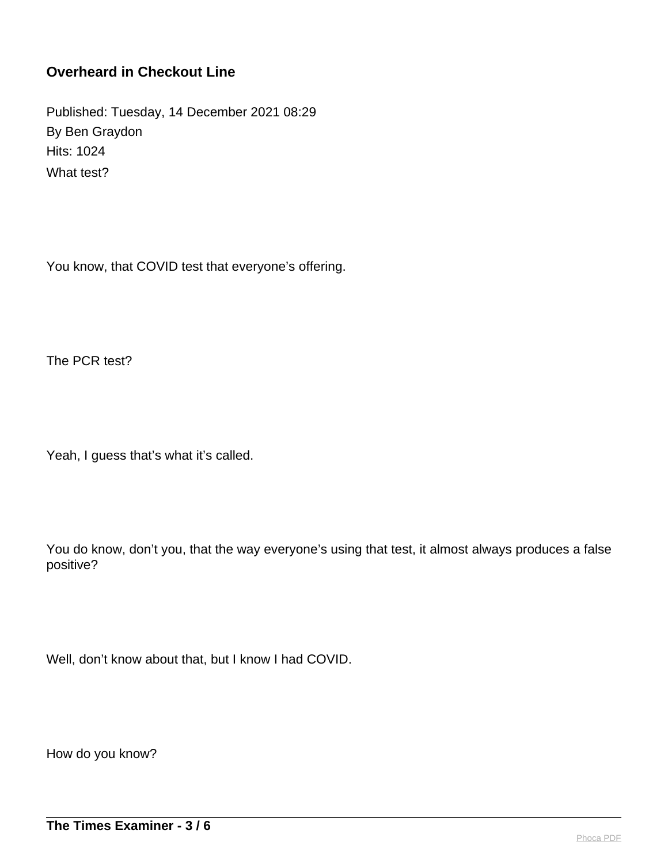Published: Tuesday, 14 December 2021 08:29 By Ben Graydon Hits: 1024 What test?

You know, that COVID test that everyone's offering.

The PCR test?

Yeah, I guess that's what it's called.

You do know, don't you, that the way everyone's using that test, it almost always produces a false positive?

Well, don't know about that, but I know I had COVID.

How do you know?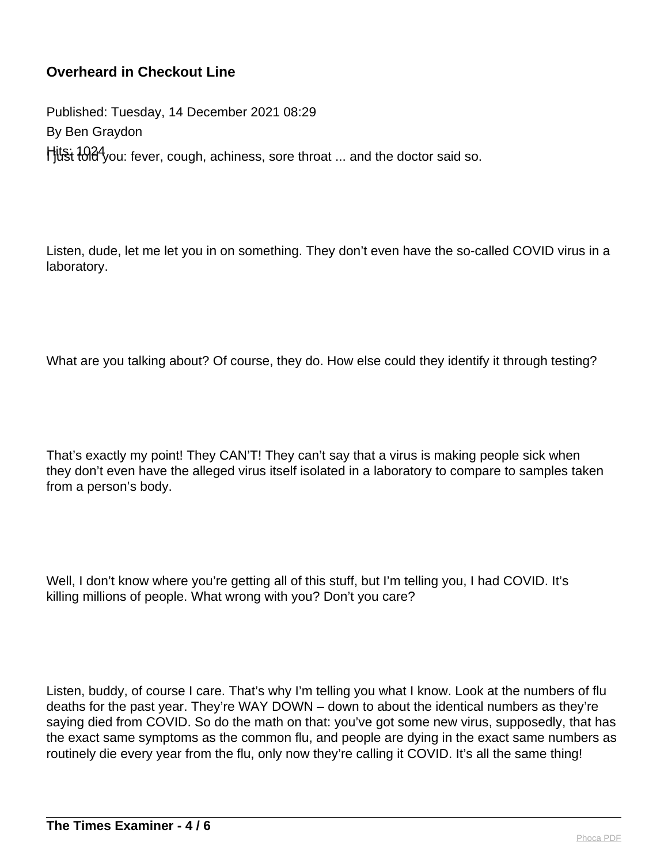Published: Tuesday, 14 December 2021 08:29 By Ben Graydon Hits: 1024 you: fever, cough, achiness, sore throat ... and the doctor said so.

Listen, dude, let me let you in on something. They don't even have the so-called COVID virus in a laboratory.

What are you talking about? Of course, they do. How else could they identify it through testing?

That's exactly my point! They CAN'T! They can't say that a virus is making people sick when they don't even have the alleged virus itself isolated in a laboratory to compare to samples taken from a person's body.

Well, I don't know where you're getting all of this stuff, but I'm telling you, I had COVID. It's killing millions of people. What wrong with you? Don't you care?

Listen, buddy, of course I care. That's why I'm telling you what I know. Look at the numbers of flu deaths for the past year. They're WAY DOWN – down to about the identical numbers as they're saying died from COVID. So do the math on that: you've got some new virus, supposedly, that has the exact same symptoms as the common flu, and people are dying in the exact same numbers as routinely die every year from the flu, only now they're calling it COVID. It's all the same thing!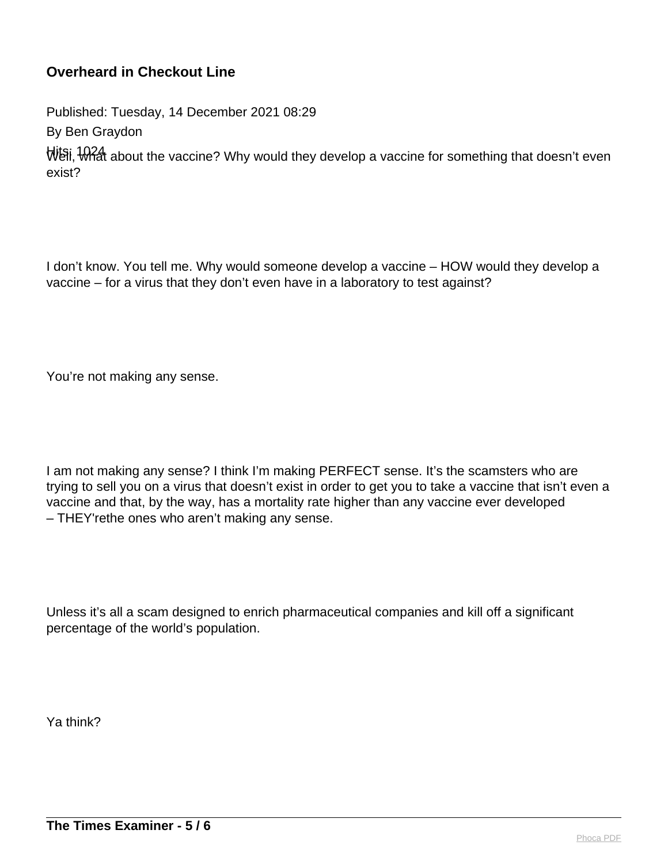Published: Tuesday, 14 December 2021 08:29

By Ben Graydon

Well, What about the vaccine? Why would they develop a vaccine for something that doesn't even exist?

I don't know. You tell me. Why would someone develop a vaccine – HOW would they develop a vaccine – for a virus that they don't even have in a laboratory to test against?

You're not making any sense.

I am not making any sense? I think I'm making PERFECT sense. It's the scamsters who are trying to sell you on a virus that doesn't exist in order to get you to take a vaccine that isn't even a vaccine and that, by the way, has a mortality rate higher than any vaccine ever developed – THEY'rethe ones who aren't making any sense.

Unless it's all a scam designed to enrich pharmaceutical companies and kill off a significant percentage of the world's population.

Ya think?